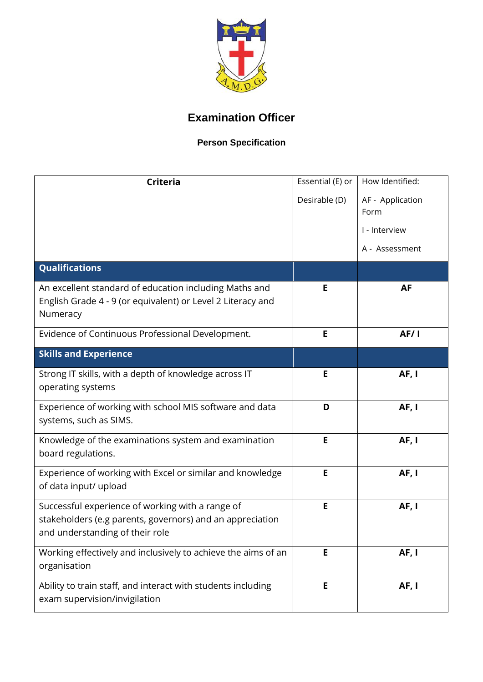

## **Examination Officer**

## **Person Specification**

| <b>Criteria</b>                                                                                                                                  | Essential (E) or<br>Desirable (D) | How Identified:<br>AF - Application<br>Form<br>I - Interview<br>A - Assessment |
|--------------------------------------------------------------------------------------------------------------------------------------------------|-----------------------------------|--------------------------------------------------------------------------------|
| <b>Qualifications</b>                                                                                                                            |                                   |                                                                                |
| An excellent standard of education including Maths and<br>English Grade 4 - 9 (or equivalent) or Level 2 Literacy and<br>Numeracy                | Е                                 | <b>AF</b>                                                                      |
| Evidence of Continuous Professional Development.                                                                                                 | E                                 | <b>AF/1</b>                                                                    |
| <b>Skills and Experience</b>                                                                                                                     |                                   |                                                                                |
| Strong IT skills, with a depth of knowledge across IT<br>operating systems                                                                       | E                                 | AF, I                                                                          |
| Experience of working with school MIS software and data<br>systems, such as SIMS.                                                                | D                                 | AF, I                                                                          |
| Knowledge of the examinations system and examination<br>board regulations.                                                                       | E                                 | AF, I                                                                          |
| Experience of working with Excel or similar and knowledge<br>of data input/ upload                                                               | E                                 | AF, I                                                                          |
| Successful experience of working with a range of<br>stakeholders (e.g parents, governors) and an appreciation<br>and understanding of their role | E                                 | AF, I                                                                          |
| Working effectively and inclusively to achieve the aims of an<br>organisation                                                                    | E                                 | AF, I                                                                          |
| Ability to train staff, and interact with students including<br>exam supervision/invigilation                                                    | E                                 | AF, I                                                                          |